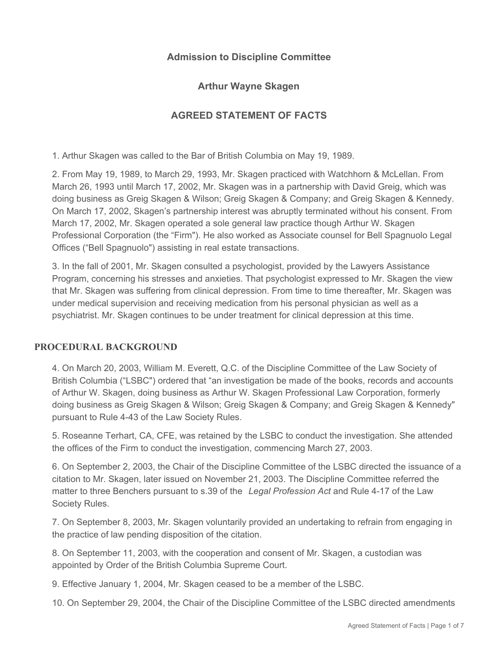# **Admission to Discipline Committee**

### **Arthur Wayne Skagen**

# **AGREED STATEMENT OF FACTS**

1. Arthur Skagen was called to the Bar of British Columbia on May 19, 1989.

2. From May 19, 1989, to March 29, 1993, Mr. Skagen practiced with Watchhorn & McLellan. From March 26, 1993 until March 17, 2002, Mr. Skagen was in a partnership with David Greig, which was doing business as Greig Skagen & Wilson; Greig Skagen & Company; and Greig Skagen & Kennedy. On March 17, 2002, Skagen's partnership interest was abruptly terminated without his consent. From March 17, 2002, Mr. Skagen operated a sole general law practice though Arthur W. Skagen Professional Corporation (the "Firm"). He also worked as Associate counsel for Bell Spagnuolo Legal Offices ("Bell Spagnuolo") assisting in real estate transactions.

3. In the fall of 2001, Mr. Skagen consulted a psychologist, provided by the Lawyers Assistance Program, concerning his stresses and anxieties. That psychologist expressed to Mr. Skagen the view that Mr. Skagen was suffering from clinical depression. From time to time thereafter, Mr. Skagen was under medical supervision and receiving medication from his personal physician as well as a psychiatrist. Mr. Skagen continues to be under treatment for clinical depression at this time.

### **PROCEDURAL BACKGROUND**

4. On March 20, 2003, William M. Everett, Q.C. of the Discipline Committee of the Law Society of British Columbia ("LSBC") ordered that "an investigation be made of the books, records and accounts of Arthur W. Skagen, doing business as Arthur W. Skagen Professional Law Corporation, formerly doing business as Greig Skagen & Wilson; Greig Skagen & Company; and Greig Skagen & Kennedy" pursuant to Rule 4-43 of the Law Society Rules.

5. Roseanne Terhart, CA, CFE, was retained by the LSBC to conduct the investigation. She attended the offices of the Firm to conduct the investigation, commencing March 27, 2003.

6. On September 2, 2003, the Chair of the Discipline Committee of the LSBC directed the issuance of a citation to Mr. Skagen, later issued on November 21, 2003. The Discipline Committee referred the matter to three Benchers pursuant to s.39 of the *Legal Profession Act* and Rule 4-17 of the Law Society Rules.

7. On September 8, 2003, Mr. Skagen voluntarily provided an undertaking to refrain from engaging in the practice of law pending disposition of the citation.

8. On September 11, 2003, with the cooperation and consent of Mr. Skagen, a custodian was appointed by Order of the British Columbia Supreme Court.

9. Effective January 1, 2004, Mr. Skagen ceased to be a member of the LSBC.

10. On September 29, 2004, the Chair of the Discipline Committee of the LSBC directed amendments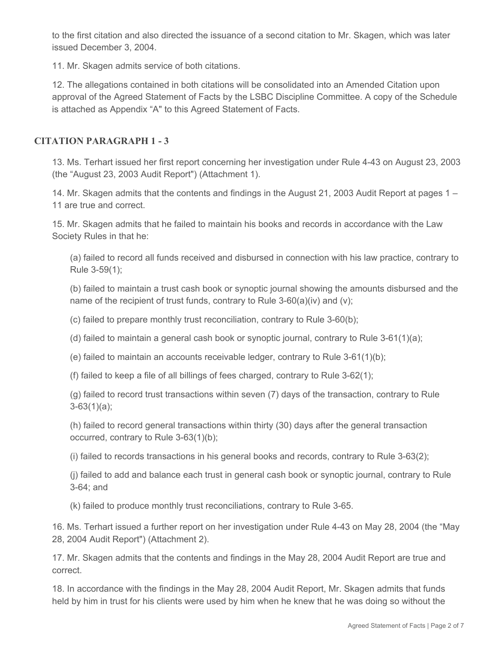to the first citation and also directed the issuance of a second citation to Mr. Skagen, which was later issued December 3, 2004.

11. Mr. Skagen admits service of both citations.

12. The allegations contained in both citations will be consolidated into an Amended Citation upon approval of the Agreed Statement of Facts by the LSBC Discipline Committee. A copy of the Schedule is attached as Appendix "A" to this Agreed Statement of Facts.

### **CITATION PARAGRAPH 1 - 3**

13. Ms. Terhart issued her first report concerning her investigation under Rule 4-43 on August 23, 2003 (the "August 23, 2003 Audit Report") (Attachment 1).

14. Mr. Skagen admits that the contents and findings in the August 21, 2003 Audit Report at pages 1 – 11 are true and correct.

15. Mr. Skagen admits that he failed to maintain his books and records in accordance with the Law Society Rules in that he:

(a) failed to record all funds received and disbursed in connection with his law practice, contrary to Rule 3-59(1);

(b) failed to maintain a trust cash book or synoptic journal showing the amounts disbursed and the name of the recipient of trust funds, contrary to Rule 3-60(a)(iv) and (v);

(c) failed to prepare monthly trust reconciliation, contrary to Rule 3-60(b);

(d) failed to maintain a general cash book or synoptic journal, contrary to Rule 3-61(1)(a);

(e) failed to maintain an accounts receivable ledger, contrary to Rule  $3-61(1)(b)$ ;

(f) failed to keep a file of all billings of fees charged, contrary to Rule 3-62(1);

(g) failed to record trust transactions within seven (7) days of the transaction, contrary to Rule  $3-63(1)(a)$ ;

(h) failed to record general transactions within thirty (30) days after the general transaction occurred, contrary to Rule 3-63(1)(b);

(i) failed to records transactions in his general books and records, contrary to Rule 3-63(2);

(j) failed to add and balance each trust in general cash book or synoptic journal, contrary to Rule 3-64; and

(k) failed to produce monthly trust reconciliations, contrary to Rule 3-65.

16. Ms. Terhart issued a further report on her investigation under Rule 4-43 on May 28, 2004 (the "May 28, 2004 Audit Report") (Attachment 2).

17. Mr. Skagen admits that the contents and findings in the May 28, 2004 Audit Report are true and correct.

18. In accordance with the findings in the May 28, 2004 Audit Report, Mr. Skagen admits that funds held by him in trust for his clients were used by him when he knew that he was doing so without the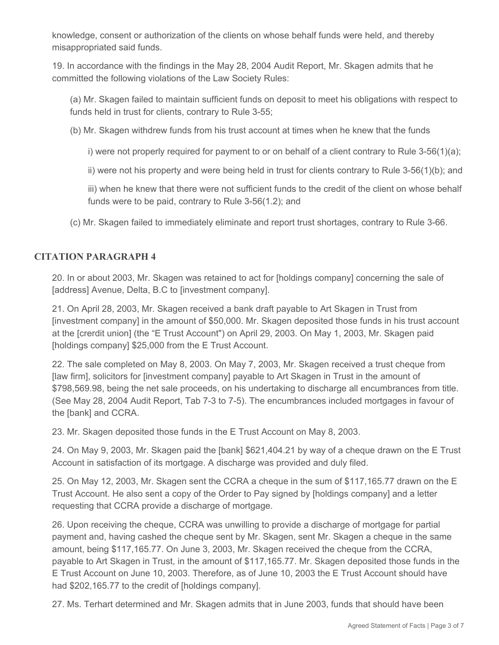knowledge, consent or authorization of the clients on whose behalf funds were held, and thereby misappropriated said funds.

19. In accordance with the findings in the May 28, 2004 Audit Report, Mr. Skagen admits that he committed the following violations of the Law Society Rules:

(a) Mr. Skagen failed to maintain sufficient funds on deposit to meet his obligations with respect to funds held in trust for clients, contrary to Rule 3-55;

(b) Mr. Skagen withdrew funds from his trust account at times when he knew that the funds

i) were not properly required for payment to or on behalf of a client contrary to Rule 3-56(1)(a);

ii) were not his property and were being held in trust for clients contrary to Rule 3-56(1)(b); and

iii) when he knew that there were not sufficient funds to the credit of the client on whose behalf funds were to be paid, contrary to Rule 3-56(1.2); and

(c) Mr. Skagen failed to immediately eliminate and report trust shortages, contrary to Rule 3-66.

# **CITATION PARAGRAPH 4**

20. In or about 2003, Mr. Skagen was retained to act for [holdings company] concerning the sale of [address] Avenue, Delta, B.C to [investment company].

21. On April 28, 2003, Mr. Skagen received a bank draft payable to Art Skagen in Trust from [investment company] in the amount of \$50,000. Mr. Skagen deposited those funds in his trust account at the [crerdit union] (the "E Trust Account") on April 29, 2003. On May 1, 2003, Mr. Skagen paid [holdings company] \$25,000 from the E Trust Account.

22. The sale completed on May 8, 2003. On May 7, 2003, Mr. Skagen received a trust cheque from [law firm], solicitors for [investment company] payable to Art Skagen in Trust in the amount of \$798,569.98, being the net sale proceeds, on his undertaking to discharge all encumbrances from title. (See May 28, 2004 Audit Report, Tab 7-3 to 7-5). The encumbrances included mortgages in favour of the [bank] and CCRA.

23. Mr. Skagen deposited those funds in the E Trust Account on May 8, 2003.

24. On May 9, 2003, Mr. Skagen paid the [bank] \$621,404.21 by way of a cheque drawn on the E Trust Account in satisfaction of its mortgage. A discharge was provided and duly filed.

25. On May 12, 2003, Mr. Skagen sent the CCRA a cheque in the sum of \$117,165.77 drawn on the E Trust Account. He also sent a copy of the Order to Pay signed by [holdings company] and a letter requesting that CCRA provide a discharge of mortgage.

26. Upon receiving the cheque, CCRA was unwilling to provide a discharge of mortgage for partial payment and, having cashed the cheque sent by Mr. Skagen, sent Mr. Skagen a cheque in the same amount, being \$117,165.77. On June 3, 2003, Mr. Skagen received the cheque from the CCRA, payable to Art Skagen in Trust, in the amount of \$117,165.77. Mr. Skagen deposited those funds in the E Trust Account on June 10, 2003. Therefore, as of June 10, 2003 the E Trust Account should have had \$202,165.77 to the credit of [holdings company].

27. Ms. Terhart determined and Mr. Skagen admits that in June 2003, funds that should have been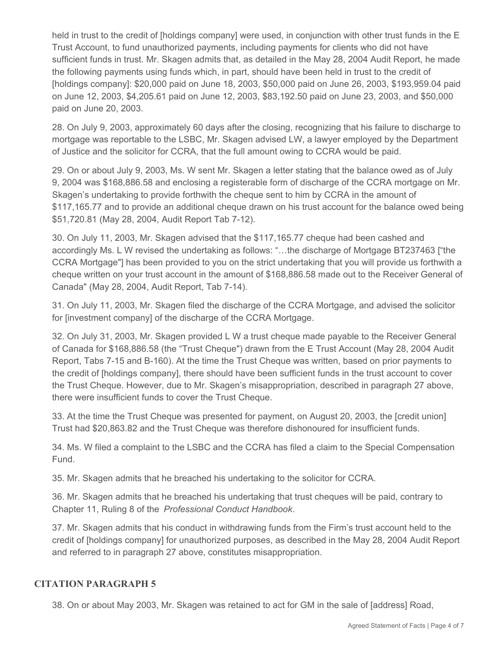held in trust to the credit of [holdings company] were used, in conjunction with other trust funds in the E Trust Account, to fund unauthorized payments, including payments for clients who did not have sufficient funds in trust. Mr. Skagen admits that, as detailed in the May 28, 2004 Audit Report, he made the following payments using funds which, in part, should have been held in trust to the credit of [holdings company]: \$20,000 paid on June 18, 2003, \$50,000 paid on June 26, 2003, \$193,959.04 paid on June 12, 2003, \$4,205.61 paid on June 12, 2003, \$83,192.50 paid on June 23, 2003, and \$50,000 paid on June 20, 2003.

28. On July 9, 2003, approximately 60 days after the closing, recognizing that his failure to discharge to mortgage was reportable to the LSBC, Mr. Skagen advised LW, a lawyer employed by the Department of Justice and the solicitor for CCRA, that the full amount owing to CCRA would be paid.

29. On or about July 9, 2003, Ms. W sent Mr. Skagen a letter stating that the balance owed as of July 9, 2004 was \$168,886.58 and enclosing a registerable form of discharge of the CCRA mortgage on Mr. Skagen's undertaking to provide forthwith the cheque sent to him by CCRA in the amount of \$117,165.77 and to provide an additional cheque drawn on his trust account for the balance owed being \$51,720.81 (May 28, 2004, Audit Report Tab 7-12).

30. On July 11, 2003, Mr. Skagen advised that the \$117,165.77 cheque had been cashed and accordingly Ms. L W revised the undertaking as follows: "…the discharge of Mortgage BT237463 ["the CCRA Mortgage"] has been provided to you on the strict undertaking that you will provide us forthwith a cheque written on your trust account in the amount of \$168,886.58 made out to the Receiver General of Canada" (May 28, 2004, Audit Report, Tab 7-14).

31. On July 11, 2003, Mr. Skagen filed the discharge of the CCRA Mortgage, and advised the solicitor for [investment company] of the discharge of the CCRA Mortgage.

32. On July 31, 2003, Mr. Skagen provided L W a trust cheque made payable to the Receiver General of Canada for \$168,886.58 (the "Trust Cheque") drawn from the E Trust Account (May 28, 2004 Audit Report, Tabs 7-15 and B-160). At the time the Trust Cheque was written, based on prior payments to the credit of [holdings company], there should have been sufficient funds in the trust account to cover the Trust Cheque. However, due to Mr. Skagen's misappropriation, described in paragraph 27 above, there were insufficient funds to cover the Trust Cheque.

33. At the time the Trust Cheque was presented for payment, on August 20, 2003, the [credit union] Trust had \$20,863.82 and the Trust Cheque was therefore dishonoured for insufficient funds.

34. Ms. W filed a complaint to the LSBC and the CCRA has filed a claim to the Special Compensation Fund.

35. Mr. Skagen admits that he breached his undertaking to the solicitor for CCRA.

36. Mr. Skagen admits that he breached his undertaking that trust cheques will be paid, contrary to Chapter 11, Ruling 8 of the *Professional Conduct Handbook*.

37. Mr. Skagen admits that his conduct in withdrawing funds from the Firm's trust account held to the credit of [holdings company] for unauthorized purposes, as described in the May 28, 2004 Audit Report and referred to in paragraph 27 above, constitutes misappropriation.

### **CITATION PARAGRAPH 5**

38. On or about May 2003, Mr. Skagen was retained to act for GM in the sale of [address] Road,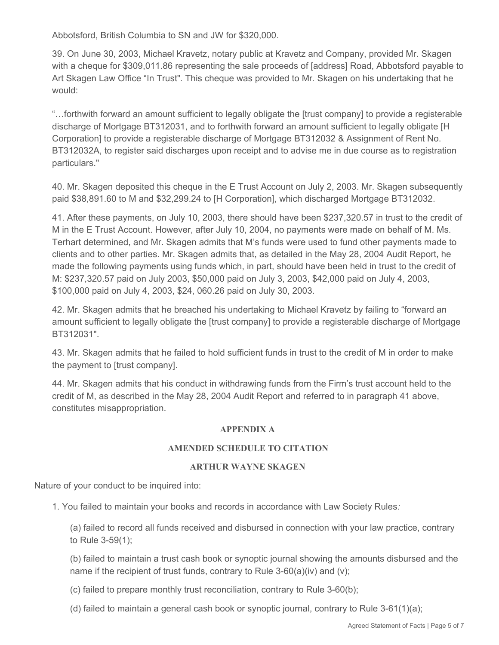Abbotsford, British Columbia to SN and JW for \$320,000.

39. On June 30, 2003, Michael Kravetz, notary public at Kravetz and Company, provided Mr. Skagen with a cheque for \$309,011.86 representing the sale proceeds of [address] Road, Abbotsford payable to Art Skagen Law Office "In Trust". This cheque was provided to Mr. Skagen on his undertaking that he would:

"…forthwith forward an amount sufficient to legally obligate the [trust company] to provide a registerable discharge of Mortgage BT312031, and to forthwith forward an amount sufficient to legally obligate [H Corporation] to provide a registerable discharge of Mortgage BT312032 & Assignment of Rent No. BT312032A, to register said discharges upon receipt and to advise me in due course as to registration particulars."

40. Mr. Skagen deposited this cheque in the E Trust Account on July 2, 2003. Mr. Skagen subsequently paid \$38,891.60 to M and \$32,299.24 to [H Corporation], which discharged Mortgage BT312032.

41. After these payments, on July 10, 2003, there should have been \$237,320.57 in trust to the credit of M in the E Trust Account. However, after July 10, 2004, no payments were made on behalf of M. Ms. Terhart determined, and Mr. Skagen admits that M's funds were used to fund other payments made to clients and to other parties. Mr. Skagen admits that, as detailed in the May 28, 2004 Audit Report, he made the following payments using funds which, in part, should have been held in trust to the credit of M: \$237,320.57 paid on July 2003, \$50,000 paid on July 3, 2003, \$42,000 paid on July 4, 2003, \$100,000 paid on July 4, 2003, \$24, 060.26 paid on July 30, 2003.

42. Mr. Skagen admits that he breached his undertaking to Michael Kravetz by failing to "forward an amount sufficient to legally obligate the [trust company] to provide a registerable discharge of Mortgage BT312031".

43. Mr. Skagen admits that he failed to hold sufficient funds in trust to the credit of M in order to make the payment to [trust company].

44. Mr. Skagen admits that his conduct in withdrawing funds from the Firm's trust account held to the credit of M, as described in the May 28, 2004 Audit Report and referred to in paragraph 41 above, constitutes misappropriation.

### **APPENDIX A**

### **AMENDED SCHEDULE TO CITATION**

### **ARTHUR WAYNE SKAGEN**

Nature of your conduct to be inquired into:

1. You failed to maintain your books and records in accordance with Law Society Rules*:*

(a) failed to record all funds received and disbursed in connection with your law practice, contrary to Rule 3-59(1);

(b) failed to maintain a trust cash book or synoptic journal showing the amounts disbursed and the name if the recipient of trust funds, contrary to Rule 3-60(a)(iv) and (v);

(c) failed to prepare monthly trust reconciliation, contrary to Rule 3-60(b);

(d) failed to maintain a general cash book or synoptic journal, contrary to Rule  $3-61(1)(a)$ ;